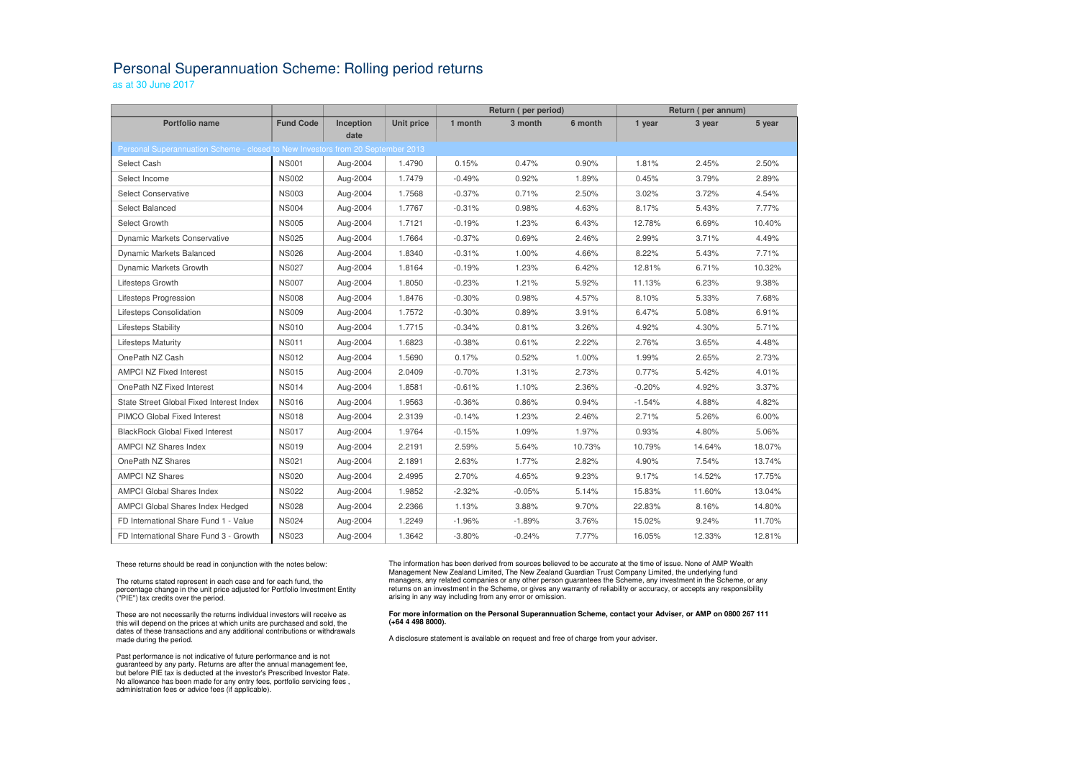## Personal Superannuation Scheme: Rolling period returns

as at 30 June 2017

|                                                                                         |                  |           |                   | Return (per period) |          | Return (per annum) |          |        |        |  |  |  |  |
|-----------------------------------------------------------------------------------------|------------------|-----------|-------------------|---------------------|----------|--------------------|----------|--------|--------|--|--|--|--|
| <b>Portfolio name</b>                                                                   | <b>Fund Code</b> | Inception | <b>Unit price</b> | 1 month             | 3 month  | 6 month            | 1 year   | 3 year | 5 year |  |  |  |  |
| date<br>Personal Superannuation Scheme - closed to New Investors from 20 September 2013 |                  |           |                   |                     |          |                    |          |        |        |  |  |  |  |
|                                                                                         | <b>NS001</b>     | Aug-2004  | 1.4790            | 0.15%               | 0.47%    | 0.90%              | 1.81%    | 2.45%  | 2.50%  |  |  |  |  |
| Select Cash                                                                             |                  |           |                   |                     |          |                    |          |        |        |  |  |  |  |
| Select Income                                                                           | <b>NS002</b>     | Aug-2004  | 1.7479            | $-0.49%$            | 0.92%    | 1.89%              | 0.45%    | 3.79%  | 2.89%  |  |  |  |  |
| <b>Select Conservative</b>                                                              | <b>NS003</b>     | Aug-2004  | 1.7568            | $-0.37%$            | 0.71%    | 2.50%              | 3.02%    | 3.72%  | 4.54%  |  |  |  |  |
| Select Balanced                                                                         | <b>NS004</b>     | Aug-2004  | 1.7767            | $-0.31%$            | 0.98%    | 4.63%              | 8.17%    | 5.43%  | 7.77%  |  |  |  |  |
| Select Growth                                                                           | <b>NS005</b>     | Aug-2004  | 1.7121            | $-0.19%$            | 1.23%    | 6.43%              | 12.78%   | 6.69%  | 10.40% |  |  |  |  |
| <b>Dynamic Markets Conservative</b>                                                     | <b>NS025</b>     | Aug-2004  | 1.7664            | $-0.37%$            | 0.69%    | 2.46%              | 2.99%    | 3.71%  | 4.49%  |  |  |  |  |
| Dynamic Markets Balanced                                                                | <b>NS026</b>     | Aug-2004  | 1.8340            | $-0.31%$            | 1.00%    | 4.66%              | 8.22%    | 5.43%  | 7.71%  |  |  |  |  |
| Dynamic Markets Growth                                                                  | <b>NS027</b>     | Aug-2004  | 1.8164            | $-0.19%$            | 1.23%    | 6.42%              | 12.81%   | 6.71%  | 10.32% |  |  |  |  |
| Lifesteps Growth                                                                        | <b>NS007</b>     | Aug-2004  | 1.8050            | $-0.23%$            | 1.21%    | 5.92%              | 11.13%   | 6.23%  | 9.38%  |  |  |  |  |
| Lifesteps Progression                                                                   | <b>NS008</b>     | Aug-2004  | 1.8476            | $-0.30%$            | 0.98%    | 4.57%              | 8.10%    | 5.33%  | 7.68%  |  |  |  |  |
| Lifesteps Consolidation                                                                 | <b>NS009</b>     | Aug-2004  | 1.7572            | $-0.30%$            | 0.89%    | 3.91%              | 6.47%    | 5.08%  | 6.91%  |  |  |  |  |
| Lifesteps Stability                                                                     | <b>NS010</b>     | Aug-2004  | 1.7715            | $-0.34%$            | 0.81%    | 3.26%              | 4.92%    | 4.30%  | 5.71%  |  |  |  |  |
| <b>Lifesteps Maturity</b>                                                               | <b>NS011</b>     | Aug-2004  | 1.6823            | $-0.38%$            | 0.61%    | 2.22%              | 2.76%    | 3.65%  | 4.48%  |  |  |  |  |
| OnePath NZ Cash                                                                         | <b>NS012</b>     | Aug-2004  | 1.5690            | 0.17%               | 0.52%    | 1.00%              | 1.99%    | 2.65%  | 2.73%  |  |  |  |  |
| <b>AMPCI NZ Fixed Interest</b>                                                          | <b>NS015</b>     | Aug-2004  | 2.0409            | $-0.70%$            | 1.31%    | 2.73%              | 0.77%    | 5.42%  | 4.01%  |  |  |  |  |
| OnePath NZ Fixed Interest                                                               | <b>NS014</b>     | Aug-2004  | 1.8581            | $-0.61%$            | 1.10%    | 2.36%              | $-0.20%$ | 4.92%  | 3.37%  |  |  |  |  |
| State Street Global Fixed Interest Index                                                | <b>NS016</b>     | Aug-2004  | 1.9563            | $-0.36%$            | 0.86%    | 0.94%              | $-1.54%$ | 4.88%  | 4.82%  |  |  |  |  |
| PIMCO Global Fixed Interest                                                             | <b>NS018</b>     | Aug-2004  | 2.3139            | $-0.14%$            | 1.23%    | 2.46%              | 2.71%    | 5.26%  | 6.00%  |  |  |  |  |
| <b>BlackRock Global Fixed Interest</b>                                                  | <b>NS017</b>     | Aug-2004  | 1.9764            | $-0.15%$            | 1.09%    | 1.97%              | 0.93%    | 4.80%  | 5.06%  |  |  |  |  |
| <b>AMPCI NZ Shares Index</b>                                                            | <b>NS019</b>     | Aug-2004  | 2.2191            | 2.59%               | 5.64%    | 10.73%             | 10.79%   | 14.64% | 18.07% |  |  |  |  |
| OnePath NZ Shares                                                                       | <b>NS021</b>     | Aug-2004  | 2.1891            | 2.63%               | 1.77%    | 2.82%              | 4.90%    | 7.54%  | 13.74% |  |  |  |  |
| <b>AMPCI NZ Shares</b>                                                                  | <b>NS020</b>     | Aug-2004  | 2.4995            | 2.70%               | 4.65%    | 9.23%              | 9.17%    | 14.52% | 17.75% |  |  |  |  |
| <b>AMPCI Global Shares Index</b>                                                        | <b>NS022</b>     | Aug-2004  | 1.9852            | $-2.32%$            | $-0.05%$ | 5.14%              | 15.83%   | 11.60% | 13.04% |  |  |  |  |
| AMPCI Global Shares Index Hedged                                                        | <b>NS028</b>     | Aug-2004  | 2.2366            | 1.13%               | 3.88%    | 9.70%              | 22.83%   | 8.16%  | 14.80% |  |  |  |  |
| FD International Share Fund 1 - Value                                                   | <b>NS024</b>     | Aug-2004  | 1.2249            | $-1.96%$            | $-1.89%$ | 3.76%              | 15.02%   | 9.24%  | 11.70% |  |  |  |  |
| FD International Share Fund 3 - Growth                                                  | <b>NS023</b>     | Aug-2004  | 1.3642            | $-3.80%$            | $-0.24%$ | 7.77%              | 16.05%   | 12.33% | 12.81% |  |  |  |  |

These returns should be read in conjunction with the notes below:

The returns stated represent in each case and for each fund, the percentage change in the unit price adjusted for Portfolio Investment Entity ("PIE") tax credits over the period.

These are not necessarily the returns individual investors will receive as this will depend on the prices at which units are purchased and sold, the dates of these transactions and any additional contributions or withdrawals made during the period.

Past performance is not indicative of future performance and is not guaranteed by any party. Returns are after the annual management fee, but before PIE tax is deducted at the investor's Prescribed Investor Rate. No allowance has been made for any entry fees, portfolio servicing fees , administration fees or advice fees (if applicable).

The information has been derived from sources believed to be accurate at the time of issue. None of AMP Wealth Management New Zealand Limited, The New Zealand Guardian Trust Company Limited, the underlying fund managers, any related companies or any other person guarantees the Scheme, any investment in the Scheme, or any returns on an investment in the Scheme, or gives any warranty of reliability or accuracy, or accepts any responsibility arising in any way including from any error or omission.

## **For more information on the Personal Superannuation Scheme, contact your Adviser, or AMP on 0800 267 111 (+64 4 498 8000).**

A disclosure statement is available on request and free of charge from your adviser.